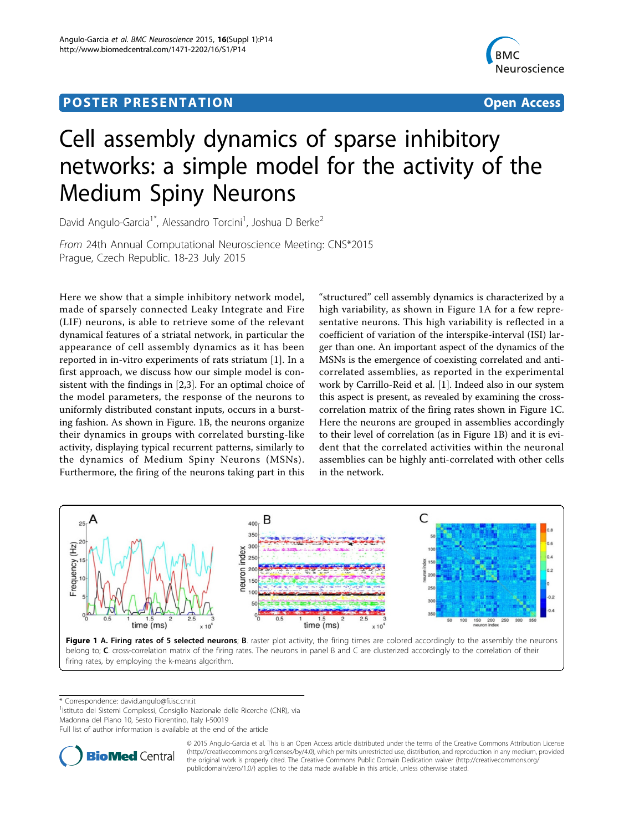## Post Experimental Police in the St English Police in the St English Police in the St English Police in the St<br>Police in the St English Police in the St English Police in the St English Police in the St English Police in



# Cell assembly dynamics of sparse inhibitory networks: a simple model for the activity of the Medium Spiny Neurons

David Angulo-Garcia<sup>1\*</sup>, Alessandro Torcini<sup>1</sup>, Joshua D Berke<sup>2</sup>

From 24th Annual Computational Neuroscience Meeting: CNS\*2015 Prague, Czech Republic. 18-23 July 2015

Here we show that a simple inhibitory network model, made of sparsely connected Leaky Integrate and Fire (LIF) neurons, is able to retrieve some of the relevant dynamical features of a striatal network, in particular the appearance of cell assembly dynamics as it has been reported in in-vitro experiments of rats striatum [\[1](#page-1-0)]. In a first approach, we discuss how our simple model is consistent with the findings in [[2,3\]](#page-1-0). For an optimal choice of the model parameters, the response of the neurons to uniformly distributed constant inputs, occurs in a bursting fashion. As shown in Figure. 1B, the neurons organize their dynamics in groups with correlated bursting-like activity, displaying typical recurrent patterns, similarly to the dynamics of Medium Spiny Neurons (MSNs). Furthermore, the firing of the neurons taking part in this

"structured" cell assembly dynamics is characterized by a high variability, as shown in Figure 1A for a few representative neurons. This high variability is reflected in a coefficient of variation of the interspike-interval (ISI) larger than one. An important aspect of the dynamics of the MSNs is the emergence of coexisting correlated and anticorrelated assemblies, as reported in the experimental work by Carrillo-Reid et al. [\[1](#page-1-0)]. Indeed also in our system this aspect is present, as revealed by examining the crosscorrelation matrix of the firing rates shown in Figure 1C. Here the neurons are grouped in assemblies accordingly to their level of correlation (as in Figure 1B) and it is evident that the correlated activities within the neuronal assemblies can be highly anti-correlated with other cells in the network.



\* Correspondence: [david.angulo@fi.isc.cnr.it](mailto:david.angulo@fi.isc.cnr.it)

<sup>1</sup>Istituto dei Sistemi Complessi, Consiglio Nazionale delle Ricerche (CNR), via

Madonna del Piano 10, Sesto Fiorentino, Italy I-50019

Full list of author information is available at the end of the article



© 2015 Angulo-Garcia et al. This is an Open Access article distributed under the terms of the Creative Commons Attribution License [\(http://creativecommons.org/licenses/by/4.0](http://creativecommons.org/licenses/by/4.0)), which permits unrestricted use, distribution, and reproduction in any medium, provided the original work is properly cited. The Creative Commons Public Domain Dedication waiver ([http://creativecommons.org/](http://creativecommons.org/publicdomain/zero/1.0/) [publicdomain/zero/1.0/](http://creativecommons.org/publicdomain/zero/1.0/)) applies to the data made available in this article, unless otherwise stated